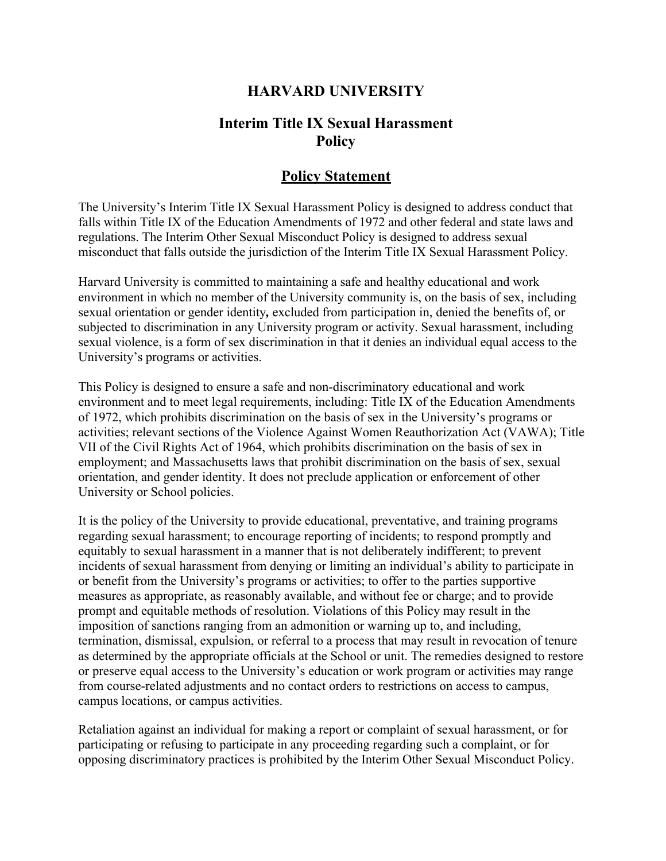## **HARVARD UNIVERSITY**

### **Interim Title IX Sexual Harassment Policy**

#### **Policy Statement**

The University's Interim Title IX Sexual Harassment Policy is designed to address conduct that falls within Title IX of the Education Amendments of 1972 and other federal and state laws and regulations. The Interim Other Sexual Misconduct Policy is designed to address sexual misconduct that falls outside the jurisdiction of the Interim Title IX Sexual Harassment Policy.

Harvard University is committed to maintaining a safe and healthy educational and work environment in which no member of the University community is, on the basis of sex, including sexual orientation or gender identity*,* excluded from participation in, denied the benefits of, or subjected to discrimination in any University program or activity. Sexual harassment, including sexual violence, is a form of sex discrimination in that it denies an individual equal access to the University's programs or activities.

This Policy is designed to ensure a safe and non-discriminatory educational and work environment and to meet legal requirements, including: Title IX of the Education Amendments of 1972, which prohibits discrimination on the basis of sex in the University's programs or activities; relevant sections of the Violence Against Women Reauthorization Act (VAWA); Title VII of the Civil Rights Act of 1964, which prohibits discrimination on the basis of sex in employment; and Massachusetts laws that prohibit discrimination on the basis of sex, sexual orientation, and gender identity. It does not preclude application or enforcement of other University or School policies.

It is the policy of the University to provide educational, preventative, and training programs regarding sexual harassment; to encourage reporting of incidents; to respond promptly and equitably to sexual harassment in a manner that is not deliberately indifferent; to prevent incidents of sexual harassment from denying or limiting an individual's ability to participate in or benefit from the University's programs or activities; to offer to the parties supportive measures as appropriate, as reasonably available, and without fee or charge; and to provide prompt and equitable methods of resolution. Violations of this Policy may result in the imposition of sanctions ranging from an admonition or warning up to, and including, termination, dismissal, expulsion, or referral to a process that may result in revocation of tenure as determined by the appropriate officials at the School or unit. The remedies designed to restore or preserve equal access to the University's education or work program or activities may range from course-related adjustments and no contact orders to restrictions on access to campus, campus locations, or campus activities.

Retaliation against an individual for making a report or complaint of sexual harassment, or for participating or refusing to participate in any proceeding regarding such a complaint, or for opposing discriminatory practices is prohibited by the Interim Other Sexual Misconduct Policy.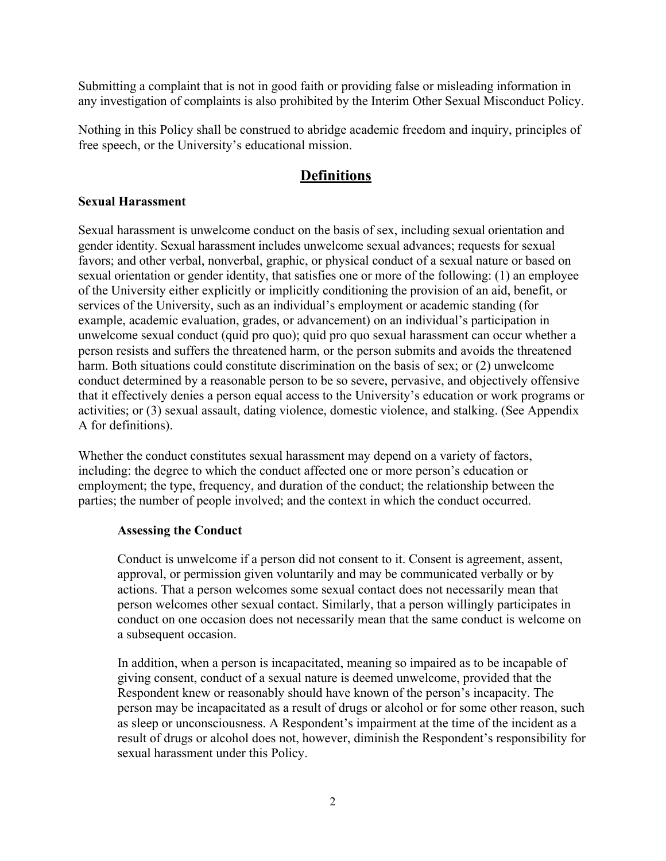Submitting a complaint that is not in good faith or providing false or misleading information in any investigation of complaints is also prohibited by the Interim Other Sexual Misconduct Policy.

Nothing in this Policy shall be construed to abridge academic freedom and inquiry, principles of free speech, or the University's educational mission.

# **Definitions**

#### **Sexual Harassment**

Sexual harassment is unwelcome conduct on the basis of sex, including sexual orientation and gender identity. Sexual harassment includes unwelcome sexual advances; requests for sexual favors; and other verbal, nonverbal, graphic, or physical conduct of a sexual nature or based on sexual orientation or gender identity, that satisfies one or more of the following: (1) an employee of the University either explicitly or implicitly conditioning the provision of an aid, benefit, or services of the University, such as an individual's employment or academic standing (for example, academic evaluation, grades, or advancement) on an individual's participation in unwelcome sexual conduct (quid pro quo); quid pro quo sexual harassment can occur whether a person resists and suffers the threatened harm, or the person submits and avoids the threatened harm. Both situations could constitute discrimination on the basis of sex; or (2) unwelcome conduct determined by a reasonable person to be so severe, pervasive, and objectively offensive that it effectively denies a person equal access to the University's education or work programs or activities; or (3) sexual assault, dating violence, domestic violence, and stalking. (See Appendix A for definitions).

Whether the conduct constitutes sexual harassment may depend on a variety of factors, including: the degree to which the conduct affected one or more person's education or employment; the type, frequency, and duration of the conduct; the relationship between the parties; the number of people involved; and the context in which the conduct occurred.

#### **Assessing the Conduct**

Conduct is unwelcome if a person did not consent to it. Consent is agreement, assent, approval, or permission given voluntarily and may be communicated verbally or by actions. That a person welcomes some sexual contact does not necessarily mean that person welcomes other sexual contact. Similarly, that a person willingly participates in conduct on one occasion does not necessarily mean that the same conduct is welcome on a subsequent occasion.

In addition, when a person is incapacitated, meaning so impaired as to be incapable of giving consent, conduct of a sexual nature is deemed unwelcome, provided that the Respondent knew or reasonably should have known of the person's incapacity. The person may be incapacitated as a result of drugs or alcohol or for some other reason, such as sleep or unconsciousness. A Respondent's impairment at the time of the incident as a result of drugs or alcohol does not, however, diminish the Respondent's responsibility for sexual harassment under this Policy.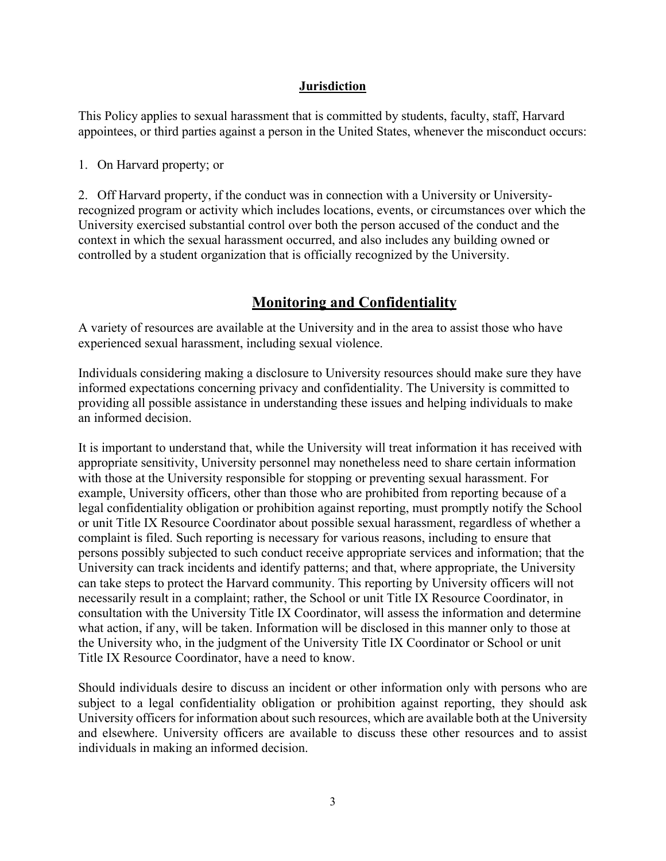#### **Jurisdiction**

This Policy applies to sexual harassment that is committed by students, faculty, staff, Harvard appointees, or third parties against a person in the United States, whenever the misconduct occurs:

1. On Harvard property; or

2. Off Harvard property, if the conduct was in connection with a University or Universityrecognized program or activity which includes locations, events, or circumstances over which the University exercised substantial control over both the person accused of the conduct and the context in which the sexual harassment occurred, and also includes any building owned or controlled by a student organization that is officially recognized by the University.

### **Monitoring and Confidentiality**

A variety of resources are available at the University and in the area to assist those who have experienced sexual harassment, including sexual violence.

Individuals considering making a disclosure to University resources should make sure they have informed expectations concerning privacy and confidentiality. The University is committed to providing all possible assistance in understanding these issues and helping individuals to make an informed decision.

It is important to understand that, while the University will treat information it has received with appropriate sensitivity, University personnel may nonetheless need to share certain information with those at the University responsible for stopping or preventing sexual harassment. For example, University officers, other than those who are prohibited from reporting because of a legal confidentiality obligation or prohibition against reporting, must promptly notify the School or unit Title IX Resource Coordinator about possible sexual harassment, regardless of whether a complaint is filed. Such reporting is necessary for various reasons, including to ensure that persons possibly subjected to such conduct receive appropriate services and information; that the University can track incidents and identify patterns; and that, where appropriate, the University can take steps to protect the Harvard community. This reporting by University officers will not necessarily result in a complaint; rather, the School or unit Title IX Resource Coordinator, in consultation with the University Title IX Coordinator, will assess the information and determine what action, if any, will be taken. Information will be disclosed in this manner only to those at the University who, in the judgment of the University Title IX Coordinator or School or unit Title IX Resource Coordinator, have a need to know.

Should individuals desire to discuss an incident or other information only with persons who are subject to a legal confidentiality obligation or prohibition against reporting, they should ask University officers for information about such resources, which are available both at the University and elsewhere. University officers are available to discuss these other resources and to assist individuals in making an informed decision.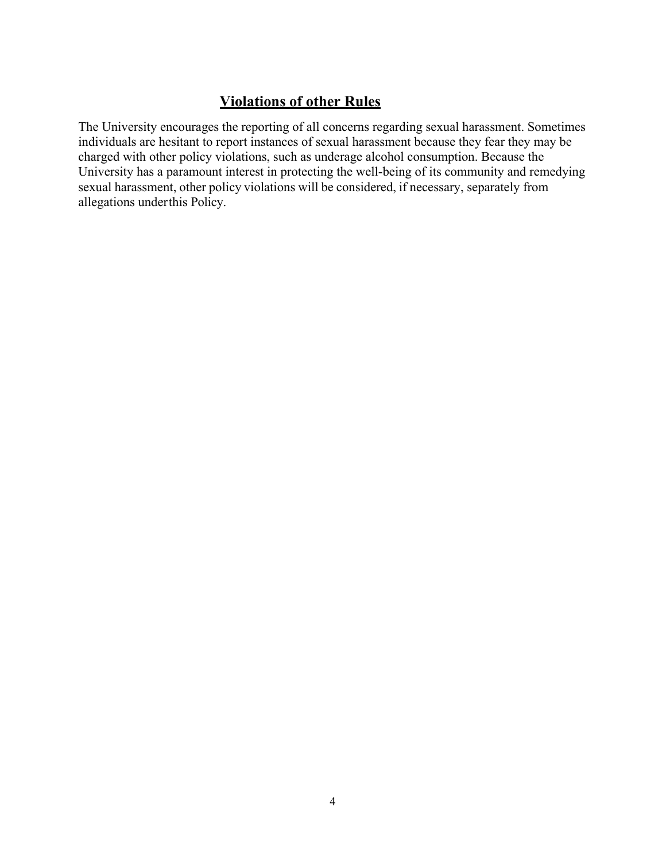# **Violations of other Rules**

The University encourages the reporting of all concerns regarding sexual harassment. Sometimes individuals are hesitant to report instances of sexual harassment because they fear they may be charged with other policy violations, such as underage alcohol consumption. Because the University has a paramount interest in protecting the well-being of its community and remedying sexual harassment, other policy violations will be considered, if necessary, separately from allegations underthis Policy.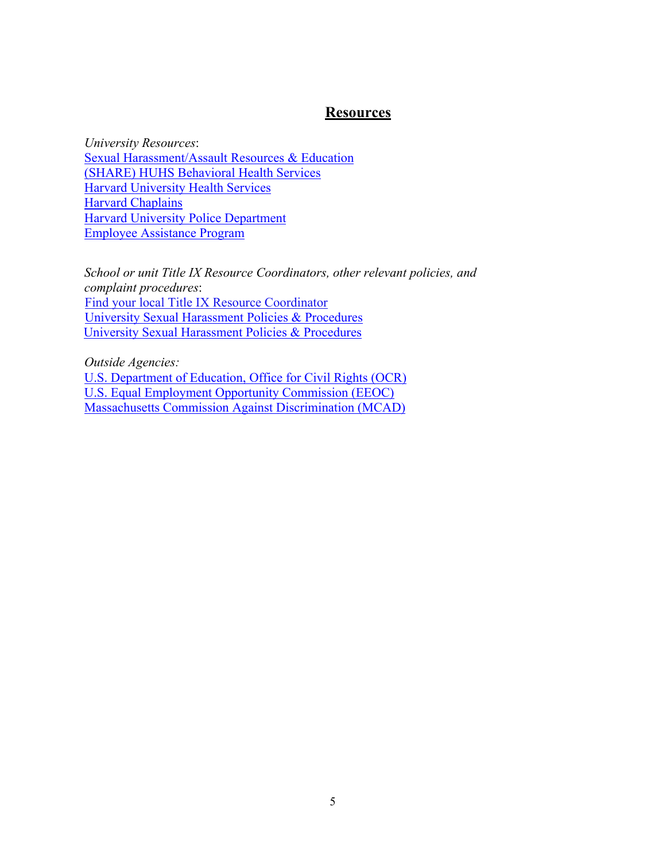#### **Resources**

*University Resources*: [Sexual Harassment/Assault Resources & Education](https://oge.harvard.edu/share) (SHARE) [HUHS Behavioral Health Services](http://huhs.harvard.edu/HealthServices/BehavioralHealth.aspx) [Harvard University Health Services](http://huhs.harvard.edu/) [Harvard Chaplains](http://chaplains.harvard.edu/) [Harvard University Police Department](http://www.hupd.harvard.edu/) [Employee Assistance Program](http://hr.harvard.edu/employee-assistance-program)

*School or unit Title IX Resource Coordinators, other relevant policies, and complaint procedures*: [Find your local Title IX Resource Coordinator](https://oge.harvard.edu/coordinators) [University Sexual Harassment Policies & Procedures](http://oge.harvard.edu/policies-procedures) [University Sexual Harassment Policies & Procedures](https://oge.harvard.edu/policies-procedures)

*Outside Agencies:* [U.S. Department of Education, Office for Civil Rights \(OCR\)](http://www2.ed.gov/about/offices/list/ocr/index.html?src=oc)  [U.S. Equal Employment Opportunity Commission \(EEOC\)](http://www.eeoc.gov/)  [Massachusetts Commission Against Discrimination \(MCAD\)](http://www.mass.gov/mcad/)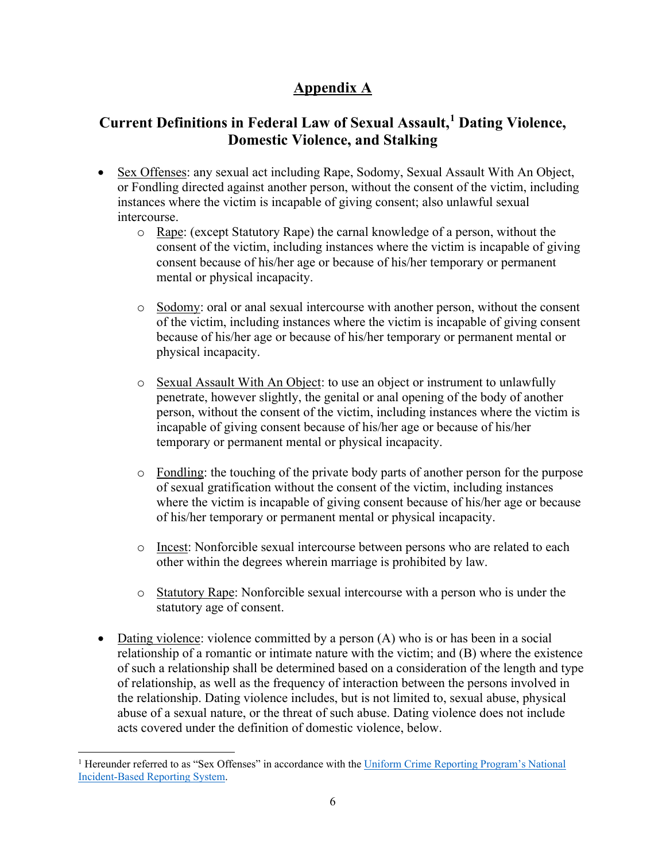# **Appendix A**

# **Current Definitions in Federal Law of Sexual Assault, [1](#page-5-0) Dating Violence, Domestic Violence, and Stalking**

- Sex Offenses: any sexual act including Rape, Sodomy, Sexual Assault With An Object, or Fondling directed against another person, without the consent of the victim, including instances where the victim is incapable of giving consent; also unlawful sexual intercourse.
	- o Rape: (except Statutory Rape) the carnal knowledge of a person, without the consent of the victim, including instances where the victim is incapable of giving consent because of his/her age or because of his/her temporary or permanent mental or physical incapacity.
	- o Sodomy: oral or anal sexual intercourse with another person, without the consent of the victim, including instances where the victim is incapable of giving consent because of his/her age or because of his/her temporary or permanent mental or physical incapacity.
	- o Sexual Assault With An Object: to use an object or instrument to unlawfully penetrate, however slightly, the genital or anal opening of the body of another person, without the consent of the victim, including instances where the victim is incapable of giving consent because of his/her age or because of his/her temporary or permanent mental or physical incapacity.
	- o Fondling: the touching of the private body parts of another person for the purpose of sexual gratification without the consent of the victim, including instances where the victim is incapable of giving consent because of his/her age or because of his/her temporary or permanent mental or physical incapacity.
	- o Incest: Nonforcible sexual intercourse between persons who are related to each other within the degrees wherein marriage is prohibited by law.
	- o Statutory Rape: Nonforcible sexual intercourse with a person who is under the statutory age of consent.
- Dating violence: violence committed by a person (A) who is or has been in a social relationship of a romantic or intimate nature with the victim; and (B) where the existence of such a relationship shall be determined based on a consideration of the length and type of relationship, as well as the frequency of interaction between the persons involved in the relationship. Dating violence includes, but is not limited to, sexual abuse, physical abuse of a sexual nature, or the threat of such abuse. Dating violence does not include acts covered under the definition of domestic violence, below.

<span id="page-5-0"></span><sup>&</sup>lt;sup>1</sup> Hereunder referred to as "Sex Offenses" in accordance with the Uniform Crime Reporting Program's National [Incident-Based Reporting System.](https://ucr.fbi.gov/nibrs/2018/resource-pages/nibrs_offense_definitions-2018.pdf)